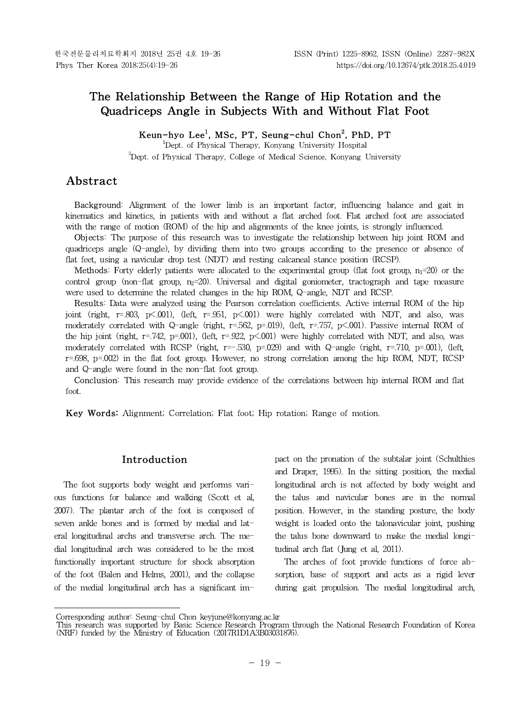# **The Relationship Between the Range of Hip Rotation and the Quadriceps Angle in Subjects With and Without Flat Foot**

**Keun-hyo Lee<sup>1</sup> , MSc, PT, Seung-chul Chon<sup>2</sup> , PhD, PT**

<sup>1</sup>Dept. of Physical Therapy, Konyang University Hospital <sup>2</sup>Dept. of Physical Therapy, College of Medical Science, Konyang University

# **Abstract1)**

**Background:** Alignment of the lower limb is an important factor, influencing balance and gait in kinematics and kinetics, in patients with and without a flat arched foot. Flat arched foot are associated with the range of motion (ROM) of the hip and alignments of the knee joints, is strongly influenced.

Objects: The purpose of this research was to investigate the relationship between hip joint ROM and quadriceps angle (Q-angle), by dividing them into two groups according to the presence or absence of flat feet, using a navicular drop test (NDT) and resting calcaneal stance position (RCSP).

**Methods:** Forty elderly patients were allocated to the experimental group (flat foot group,  $n_1=20$ ) or the control group (non-flat group,  $n_2=20$ ). Universal and digital goniometer, tractograph and tape measure were used to determine the related changes in the hip ROM, Q-angle, NDT and RCSP.

Results: Data were analyzed using the Pearson correlation coefficients. Active internal ROM of the hip joint (right,  $r=.803$ ,  $p\leq 001$ ), (left,  $r=.951$ ,  $p\leq 001$ ) were highly correlated with NDT, and also, was moderately correlated with Q-angle (right, r=.562, p=.019), (left, r=.757, p<.001). Passive internal ROM of the hip joint (right,  $r=742$ ,  $p=001$ ), (left,  $r=922$ ,  $p<001$ ) were highly correlated with NDT, and also, was moderately correlated with RCSP (right,  $r=-.530$ ,  $p=.029$ ) and with Q-angle (right,  $r=.710$ ,  $p=.001$ ), (left, r=.698, p=.002) in the flat foot group. However, no strong correlation among the hip ROM, NDT, RCSP and Q-angle were found in the non-flat foot group.

**Conclusion:** This research may provide evidence of the correlations between hip internal ROM and flat foot.

**Key Words:** Alignment; Correlation; Flat foot; Hip rotation; Range of motion.

#### **Introduction**

The foot supports body weight and performs various functions for balance and walking (Scott et al, 2007). The plantar arch of the foot is composed of seven ankle bones and is formed by medial and lateral longitudinal archs and transverse arch. The medial longitudinal arch was considered to be the most functionally important structure for shock absorption of the foot (Balen and Helms, 2001), and the collapse of the medial longitudinal arch has a significant impact on the pronation of the subtalar joint (Schulthies and Draper, 1995). In the sitting position, the medial longitudinal arch is not affected by body weight and the talus and navicular bones are in the normal position. However, in the standing posture, the body weight is loaded onto the talonavicular joint, pushing the talus bone downward to make the medial longitudinal arch flat (Jung et al, 2011).

The arches of foot provide functions of force absorption, base of support and acts as a rigid lever during gait propulsion. The medial longitudinal arch,

Corresponding author: Seung-chul Chon keyjune@konyang.ac.kr

This research was supported by Basic Science Research Program through the National Research Foundation of Korea (NRF) funded by the Ministry of Education (2017R1D1A3B03031876).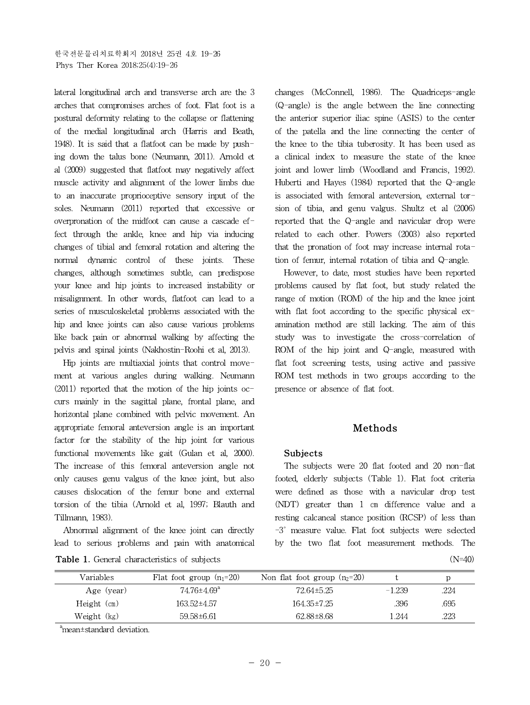lateral longitudinal arch and transverse arch are the 3 arches that compromises arches of foot. Flat foot is a postural deformity relating to the collapse or flattening of the medial longitudinal arch (Harris and Beath, 1948). It is said that a flatfoot can be made by pushing down the talus bone (Neumann, 2011). Arnold et al (2009) suggested that flatfoot may negatively affect muscle activity and alignment of the lower limbs due to an inaccurate proprioceptive sensory input of the soles. Neumann (2011) reported that excessive or overpronation of the midfoot can cause a cascade effect through the ankle, knee and hip via inducing changes of tibial and femoral rotation and altering the normal dynamic control of these joints. These changes, although sometimes subtle, can predispose your knee and hip joints to increased instability or misalignment. In other words, flatfoot can lead to a series of musculoskeletal problems associated with the hip and knee joints can also cause various problems like back pain or abnormal walking by affecting the pelvis and spinal joints (Nakhostin-Roohi et al, 2013).

Hip joints are multiaxial joints that control movement at various angles during walking. Neumann  $(2011)$  reported that the motion of the hip joints occurs mainly in the sagittal plane, frontal plane, and horizontal plane combined with pelvic movement. An appropriate femoral anteversion angle is an important factor for the stability of the hip joint for various functional movements like gait (Gulan et al, 2000). The increase of this femoral anteversion angle not only causes genu valgus of the knee joint, but also causes dislocation of the femur bone and external torsion of the tibia (Arnold et al, 1997; Blauth and Tillmann, 1983).

Abnormal alignment of the knee joint can directly lead to serious problems and pain with anatomical

**Table 1.** General characteristics of subjects (N=40)

changes (McConnell, 1986). The Quadriceps-angle (Q-angle) is the angle between the line connecting the anterior superior iliac spine (ASIS) to the center of the patella and the line connecting the center of the knee to the tibia tuberosity. It has been used as a clinical index to measure the state of the knee joint and lower limb (Woodland and Francis, 1992). Huberti and Hayes (1984) reported that the Q-angle is associated with femoral anteversion, external torsion of tibia, and genu valgus. Shultz et al (2006) reported that the Q-angle and navicular drop were related to each other. Powers (2003) also reported that the pronation of foot may increase internal rotation of femur, internal rotation of tibia and Q-angle.

However, to date, most studies have been reported problems caused by flat foot, but study related the range of motion (ROM) of the hip and the knee joint with flat foot according to the specific physical examination method are still lacking. The aim of this study was to investigate the cross-correlation of ROM of the hip joint and Q-angle, measured with flat foot screening tests, using active and passive ROM test methods in two groups according to the presence or absence of flat foot.

# **Methods**

#### **Subjects**

The subjects were 20 flat footed and 20 non-flat footed, elderly subjects (Table 1). Flat foot criteria were defined as those with a navicular drop test (NDT) greater than 1 ㎝ difference value and a resting calcaneal stance position (RCSP) of less than -3˚ measure value. Flat foot subjects were selected by the two flat foot measurement methods. The

| Variables     | Flat foot group $(n_1=20)$    | Non flat foot group $(n_2=20)$ |          |      |
|---------------|-------------------------------|--------------------------------|----------|------|
| Age (year)    | $74.76 \pm 4.69$ <sup>a</sup> | 72.64±5.25                     | $-1.239$ | .224 |
| $Height$ (cm) | 163.52±4.57                   | 164.35±7.25                    | .396     | .695 |
| Weight (kg)   | 59.58±6.61                    | 62.88±8.68                     | .244     | .223 |
|               |                               |                                |          |      |

<sup>a</sup>mean±standard deviation.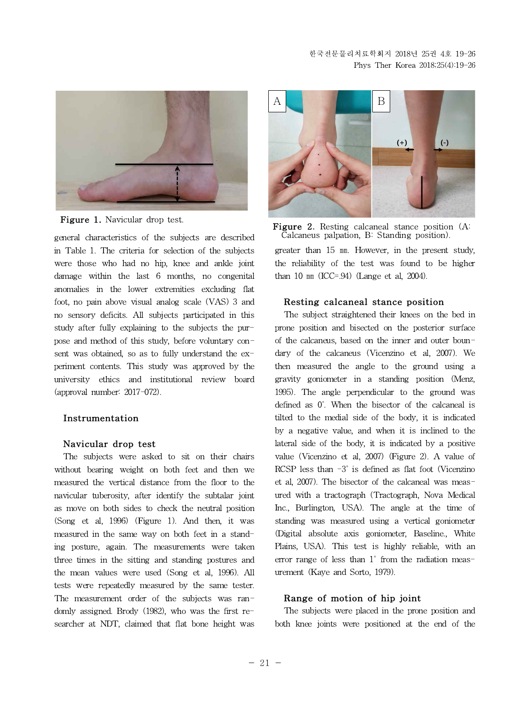

**Figure 1.** Navicular drop test.

in Table 1. The criteria for selection of the subjects were those who had no hip, knee and ankle joint damage within the last 6 months, no congenital anomalies in the lower extremities excluding flat foot, no pain above visual analog scale (VAS) 3 and no sensory deficits. All subjects participated in this study after fully explaining to the subjects the purpose and method of this study, before voluntary consent was obtained, so as to fully understand the experiment contents. This study was approved by the university ethics and institutional review board (approval number: 2017-072).

### **Instrumentation**

#### **Navicular drop test**

The subjects were asked to sit on their chairs without bearing weight on both feet and then we measured the vertical distance from the floor to the navicular tuberosity, after identify the subtalar joint as move on both sides to check the neutral position (Song et al, 1996) (Figure 1). And then, it was measured in the same way on both feet in a standing posture, again. The measurements were taken three times in the sitting and standing postures and the mean values were used (Song et al, 1996). All tests were repeatedly measured by the same tester. The measurement order of the subjects was randomly assigned. Brody (1982), who was the first researcher at NDT, claimed that flat bone height was





greater than 15 ㎜. However, in the present study, the reliability of the test was found to be higher than 10  $mm$  (ICC=.94) (Lange et al, 2004).

#### **Resting calcaneal stance position**

The subject straightened their knees on the bed in prone position and bisected on the posterior surface of the calcaneus, based on the inner and outer boundary of the calcaneus (Vicenzino et al, 2007). We then measured the angle to the ground using a gravity goniometer in a standing position (Menz, 1995). The angle perpendicular to the ground was defined as 0˚. When the bisector of the calcaneal is tilted to the medial side of the body, it is indicated by a negative value, and when it is inclined to the lateral side of the body, it is indicated by a positive value (Vicenzino et al, 2007) (Figure 2). A value of RCSP less than  $-3^\circ$  is defined as flat foot (Vicenzino et al, 2007). The bisector of the calcaneal was measured with a tractograph (Tractograph, Nova Medical Inc., Burlington, USA). The angle at the time of standing was measured using a vertical goniometer (Digital absolute axis goniometer, Baseline., White Plains, USA). This test is highly reliable, with an error range of less than 1˚ from the radiation measurement (Kaye and Sorto, 1979).

### **Range of motion of hip joint**

The subjects were placed in the prone position and both knee joints were positioned at the end of the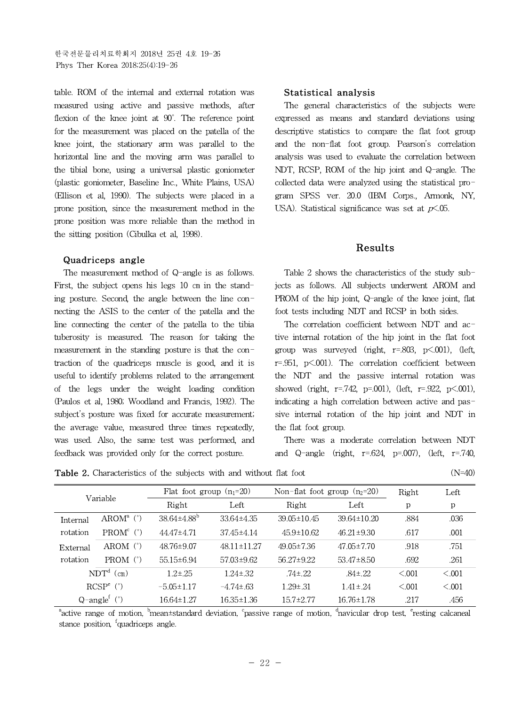한국전문물리치료학회지 2018년 25권 4호 19-26 Phys Ther Korea 2018;25(4):19-26

table. ROM of the internal and external rotation was measured using active and passive methods, after flexion of the knee joint at 90˚. The reference point for the measurement was placed on the patella of the knee joint, the stationary arm was parallel to the horizontal line and the moving arm was parallel to the tibial bone, using a universal plastic goniometer (plastic goniometer, Baseline Inc., White Plains, USA) (Ellison et al, 1990). The subjects were placed in a prone position, since the measurement method in the prone position was more reliable than the method in the sitting position (Cibulka et al, 1998).

#### **Quadriceps angle**

The measurement method of Q-angle is as follows. First, the subject opens his legs 10 ㎝ in the standing posture. Second, the angle between the line connecting the ASIS to the center of the patella and the line connecting the center of the patella to the tibia tuberosity is measured. The reason for taking the measurement in the standing posture is that the contraction of the quadriceps muscle is good, and it is useful to identify problems related to the arrangement of the legs under the weight loading condition (Paulos et al, 1980; Woodland and Francis, 1992). The subject's posture was fixed for accurate measurement; the average value, measured three times repeatedly, was used. Also, the same test was performed, and feedback was provided only for the correct posture.

#### **Statistical analysis**

The general characteristics of the subjects were expressed as means and standard deviations using descriptive statistics to compare the flat foot group and the non-flat foot group. Pearson's correlation analysis was used to evaluate the correlation between NDT, RCSP, ROM of the hip joint and Q-angle. The collected data were analyzed using the statistical program SPSS ver. 20.0 (IBM Corps., Armonk, NY, USA). Statistical significance was set at  $p<.05$ .

#### **Results**

Table 2 shows the characteristics of the study subjects as follows. All subjects underwent AROM and PROM of the hip joint, Q-angle of the knee joint, flat foot tests including NDT and RCSP in both sides.

The correlation coefficient between NDT and active internal rotation of the hip joint in the flat foot group was surveyed (right,  $r=.803$ ,  $p<.001$ ), (left, r=.951, p<.001). The correlation coefficient between the NDT and the passive internal rotation was showed (right, r=.742, p=.001), (left, r=.922, p<.001), indicating a high correlation between active and passive internal rotation of the hip joint and NDT in the flat foot group.

There was a moderate correlation between NDT and Q-angle (right,  $r=.624$ ,  $p=.007$ ), (left,  $r=.740$ )

**Table 2.** Characteristics of the subjects with and without flat foot (N=40) (N=40)

| Variable                      |                       | Flat foot group $(n_1=20)$ |                   | Non-flat foot group $(n_2=20)$ |                   | Right        | Left    |
|-------------------------------|-----------------------|----------------------------|-------------------|--------------------------------|-------------------|--------------|---------|
|                               |                       | Right<br>Left              |                   | Right                          | Left              | p            | p       |
| Internal                      | $AROM^a$ (°)          | $38.64 \pm 4.88^{\circ}$   | $33.64 \pm 4.35$  | $39.05 \pm 10.45$              | $39.64 \pm 10.20$ | .884         | .036    |
| rotation                      | $PROMc$ ( $\degree$ ) | 44.47±4.71                 | $37.45 \pm 4.14$  | $45.9 \pm 10.62$               | $46.21 \pm 9.30$  | .617         | .001    |
| External                      | AROM $(°)$            | 48.76±9.07                 | $48.11 \pm 11.27$ | $49.05 \pm 7.36$               | 47.05±7.70        | .918         | .751    |
| rotation                      | PROM $(°)$            | $55.15 \pm 6.94$           | 57.03±9.62        | $56.27 \pm 9.22$               | $53.47 \pm 8.50$  | .692         | .261    |
|                               | $NDTd$ (cm)           | $1.2 \pm .25$              | $1.24 \pm .32$    | $.74 \pm .22$                  | $84 \pm 22$       | $\leq 0.001$ | < 0.001 |
|                               | $RCSPe$ (°)           | $-5.05 \pm 1.17$           | $-4.74 \pm 63$    | $1.29 \pm .31$                 | $1.41 \pm .24$    | < 0.001      | < 0.001 |
| $Q$ -angle <sup>f</sup> $(°)$ |                       | $16.64 \pm 1.27$           | $16.35 \pm 1.36$  | $15.7 \pm 2.77$                | $16.76 \pm 1.78$  | .217         | .456    |

<sup>a</sup>active range of motion, <sup>b</sup>mean±standard deviation, <sup>c</sup>passive range of motion, <sup>d</sup>navicular drop test, <sup>e</sup>resting calcaneal stance position, <sup>f</sup>quadriceps angle.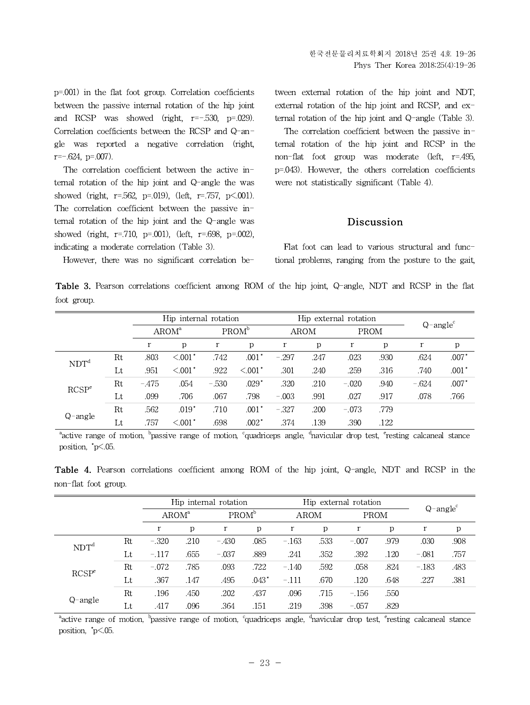p=.001) in the flat foot group. Correlation coefficients between the passive internal rotation of the hip joint and RCSP was showed (right,  $r=-.530$ ,  $p=.029$ ). Correlation coefficients between the RCSP and Q-angle was reported a negative correlation (right,  $r=-.624$ ,  $p=.007$ ).

The correlation coefficient between the active internal rotation of the hip joint and Q-angle the was showed (right, r=.562, p=.019), (left, r=.757, p<.001). The correlation coefficient between the passive internal rotation of the hip joint and the Q-angle was showed (right,  $r=.710$ ,  $p=.001$ ), (left,  $r=.698$ ,  $p=.002$ ), indicating a moderate correlation (Table 3).

However, there was no significant correlation be-

tween external rotation of the hip joint and NDT, external rotation of the hip joint and RCSP, and external rotation of the hip joint and Q-angle (Table 3).

The correlation coefficient between the passive internal rotation of the hip joint and RCSP in the non-flat foot group was moderate (left, r=.495, p=.043). However, the others correlation coefficients were not statistically significant (Table 4).

#### **Discussion**

Flat foot can lead to various structural and functional problems, ranging from the posture to the gait,

**Table 3.** Pearson correlations coefficient among ROM of the hip joint, Q-angle, NDT and RCSP in the flat foot group.

|                              |             |                   | Hip internal rotation  |                   |                        | Hip external rotation |      |             |      | $Q$ -angle <sup>c</sup> |         |
|------------------------------|-------------|-------------------|------------------------|-------------------|------------------------|-----------------------|------|-------------|------|-------------------------|---------|
|                              |             | AROM <sup>a</sup> |                        | PROM <sup>b</sup> |                        | <b>AROM</b>           |      | <b>PROM</b> |      |                         |         |
|                              |             | r                 | p                      | $\mathbf r$       | p                      | $\mathbf r$           | p    | $\mathbf r$ | p    | r                       | р       |
| Rt<br>NDT <sup>d</sup><br>Lt |             | .803              | $< 0.001$ <sup>*</sup> | .742              | .001                   | $-.297$               | .247 | .023        | .930 | .624                    | $.007*$ |
|                              |             | .951              | $< 0.001$ *            | .922              | $< 0.001$ <sup>*</sup> | .301                  | .240 | .259        | .316 | .740                    | $.001*$ |
| RCSP <sup>e</sup>            | Rt          | $-475$            | .054                   | $-.530$           | $.029*$                | .320                  | .210 | $-.020$     | .940 | $-.624$                 | $.007*$ |
|                              | $_{\rm Lt}$ | .099              | .706                   | .067              | .798                   | $-.003$               | .991 | .027        | .917 | .078                    | .766    |
| $Q$ -angle                   | Rt          | .562              | $.019*$                | .710              | $.001*$                | $-.327$               | .200 | $-.073$     | .779 |                         |         |
|                              | $_{\rm Lt}$ | .757              | $< 0.001$ *            | .698              | $.002*$                | .374                  | .139 | .390        | .122 |                         |         |

<sup>a</sup>active range of motion, <sup>b</sup>passive range of motion, <sup>c</sup>quadriceps angle, <sup>d</sup>navicular drop test, <sup>e</sup>resting calcaneal stance position, \*p<.05.

**Table 4.** Pearson correlations coefficient among ROM of the hip joint, Q-angle, NDT and RCSP in the non-flat foot group.

|                   |             |                   |              | Hip internal rotation |              | Hip external rotation |      |             |      |                         |      |
|-------------------|-------------|-------------------|--------------|-----------------------|--------------|-----------------------|------|-------------|------|-------------------------|------|
|                   |             | AROM <sup>a</sup> |              | PROM <sup>b</sup>     |              | <b>AROM</b>           |      | <b>PROM</b> |      | $Q$ -angle <sup>c</sup> |      |
|                   |             |                   | $\mathbf{p}$ | r                     | $\mathbf{p}$ | r                     | р    | r           | p    |                         | р    |
| NDT <sup>d</sup>  | $_{\rm Rt}$ | $-.320$           | .210         | $-.430$               | .085         | $-163$                | .533 | $-.007$     | .979 | .030                    | .908 |
|                   | Lt          | $-.117$           | .655         | $-.037$               | .889         | .241                  | .352 | .392        | .120 | $-.081$                 | .757 |
| RCSP <sup>e</sup> | $_{\rm Rt}$ | $-.072$           | .785         | .093                  | .722         | $-.140$               | .592 | .058        | .824 | $-.183$                 | .483 |
|                   | Lt          | .367              | .147         | .495                  | $.043*$      | $-.111$               | .670 | .120        | .648 | .227                    | .381 |
| Q-angle           | $_{\rm Rt}$ | .196              | .450         | .202                  | .437         | .096                  | .715 | $-.156$     | .550 |                         |      |
|                   | Lt          | .417              | .096         | .364                  | .151         | .219                  | .398 | $-.057$     | .829 |                         |      |

<sup>a</sup>active range of motion, <sup>b</sup>passive range of motion, <sup>c</sup>quadriceps angle, <sup>d</sup>navicular drop test, <sup>e</sup>resting calcaneal stance position, \*p<.05.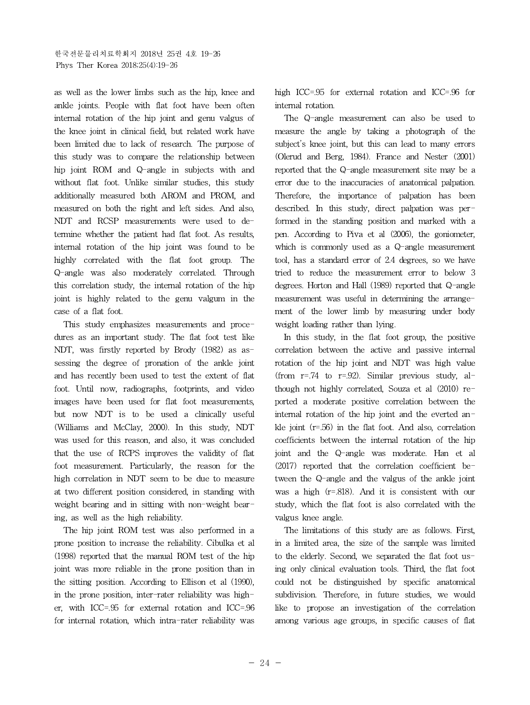as well as the lower limbs such as the hip, knee and ankle joints. People with flat foot have been often internal rotation of the hip joint and genu valgus of the knee joint in clinical field, but related work have been limited due to lack of research. The purpose of this study was to compare the relationship between hip joint ROM and Q-angle in subjects with and without flat foot. Unlike similar studies, this study additionally measured both AROM and PROM, and measured on both the right and left sides. And also, NDT and RCSP measurements were used to determine whether the patient had flat foot. As results, internal rotation of the hip joint was found to be highly correlated with the flat foot group. The Q-angle was also moderately correlated. Through this correlation study, the internal rotation of the hip joint is highly related to the genu valgum in the case of a flat foot.

This study emphasizes measurements and procedures as an important study. The flat foot test like NDT, was firstly reported by Brody (1982) as assessing the degree of pronation of the ankle joint and has recently been used to test the extent of flat foot. Until now, radiographs, footprints, and video images have been used for flat foot measurements, but now NDT is to be used a clinically useful (Williams and McClay, 2000). In this study, NDT was used for this reason, and also, it was concluded that the use of RCPS improves the validity of flat foot measurement. Particularly, the reason for the high correlation in NDT seem to be due to measure at two different position considered, in standing with weight bearing and in sitting with non-weight bearing, as well as the high reliability.

The hip joint ROM test was also performed in a prone position to increase the reliability. Cibulka et al (1998) reported that the manual ROM test of the hip joint was more reliable in the prone position than in the sitting position. According to Ellison et al (1990), in the prone position, inter-rater reliability was higher, with ICC=.95 for external rotation and ICC=.96 for internal rotation, which intra-rater reliability was

high ICC=.95 for external rotation and ICC=.96 for internal rotation.

The Q-angle measurement can also be used to measure the angle by taking a photograph of the subject's knee joint, but this can lead to many errors (Olerud and Berg, 1984). France and Nester (2001) reported that the Q-angle measurement site may be a error due to the inaccuracies of anatomical palpation. Therefore, the importance of palpation has been described. In this study, direct palpation was performed in the standing position and marked with a pen. According to Piva et al (2006), the goniometer, which is commonly used as a Q-angle measurement tool, has a standard error of 2.4 degrees, so we have tried to reduce the measurement error to below 3 degrees. Horton and Hall (1989) reported that Q-angle measurement was useful in determining the arrangement of the lower limb by measuring under body weight loading rather than lying.

In this study, in the flat foot group, the positive correlation between the active and passive internal rotation of the hip joint and NDT was high value (from  $r=74$  to  $r=92$ ). Similar previous study, although not highly correlated, Souza et al (2010) reported a moderate positive correlation between the internal rotation of the hip joint and the everted ankle joint (r=.56) in the flat foot. And also, correlation coefficients between the internal rotation of the hip joint and the Q-angle was moderate. Han et al (2017) reported that the correlation coefficient between the Q-angle and the valgus of the ankle joint was a high (r=.818). And it is consistent with our study, which the flat foot is also correlated with the valgus knee angle.

The limitations of this study are as follows. First, in a limited area, the size of the sample was limited to the elderly. Second, we separated the flat foot using only clinical evaluation tools. Third, the flat foot could not be distinguished by specific anatomical subdivision. Therefore, in future studies, we would like to propose an investigation of the correlation among various age groups, in specific causes of flat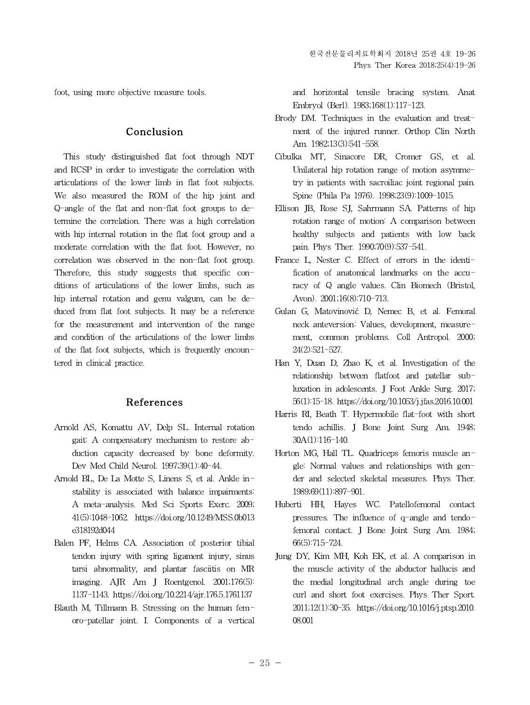foot, using more objective measure tools.

# **Conclusion**

This study distinguished flat foot through NDT and RCSP in order to investigate the correlation with articulations of the lower limb in flat foot subjects. We also measured the ROM of the hip joint and Q-angle of the flat and non-flat foot groups to determine the correlation. There was a high correlation with hip internal rotation in the flat foot group and a moderate correlation with the flat foot. However, no correlation was observed in the non-flat foot group. Therefore, this study suggests that specific conditions of articulations of the lower limbs, such as hip internal rotation and genu valgum, can be deduced from flat foot subjects. It may be a reference for the measurement and intervention of the range and condition of the articulations of the lower limbs of the flat foot subjects, which is frequently encountered in clinical practice.

# **References**

- Arnold AS, Komattu AV, Delp SL. Internal rotation gait: A compensatory mechanism to restore abduction capacity decreased by bone deformity. Dev Med Child Neurol. 1997;39(1):40-44.
- Arnold BL, De La Motte S, Linens S, et al. Ankle instability is associated with balance impairments: A meta-analysis. Med Sci Sports Exerc. 2009; 41(5):1048-1062. https://doi.org/10.1249/MSS.0b013 e318192d044
- Balen PF, Helms CA. Association of posterior tibial tendon injury with spring ligament injury, sinus tarsi abnormality, and plantar fasciitis on MR imaging. AJR Am J Roentgenol. 2001;176(5): 1137-1143. https://doi.org/10.2214/ajr.176.5.1761137
- Blauth M, Tillmann B. Stressing on the human femoro-patellar joint. I. Components of a vertical

and horizontal tensile bracing system. Anat Embryol (Berl). 1983;168(1):117-123.

- Brody DM. Techniques in the evaluation and treatment of the injured runner. Orthop Clin North Am. 1982;13(3):541-558.
- Cibulka MT, Sinacore DR, Cromer GS, et al. Unilateral hip rotation range of motion asymmetry in patients with sacroiliac joint regional pain. Spine (Phila Pa 1976). 1998;23(9):1009-1015.
- Ellison JB, Rose SJ, Sahrmann SA. Patterns of hip rotation range of motion: A comparison between healthy subjects and patients with low back pain. Phys Ther. 1990;70(9):537-541.
- France L, Nester C. Effect of errors in the identification of anatomical landmarks on the accuracy of Q angle values. Clin Biomech (Bristol, Avon). 2001;16(8):710-713.
- Gulan G, Matovinović D, Nemec B, et al. Femoral neck anteversion: Values, development, measurement, common problems. Coll Antropol. 2000; 24(2):521-527.
- Han Y, Duan D, Zhao K, et al. Investigation of the relationship between flatfoot and patellar subluxation in adolescents. J Foot Ankle Surg. 2017; 56(1):15-18. https://doi.org/10.1053/j.jfas.2016.10.001
- Harris RI, Beath T. Hypermobile flat-foot with short tendo achillis. J Bone Joint Surg Am.1948; 30A(1):116-140.
- Horton MG, Hall TL. Quadriceps femoris muscle angle: Normal values and relationships with gender and selected skeletal measures. Phys Ther. 1989;69(11):897-901.
- Huberti HH, Hayes WC. Patellofemoral contact pressures. The influence of q-angle and tendofemoral contact. J Bone Joint Surg Am. 1984; 66(5):715-724.
- Jung DY, Kim MH, Koh EK, et al. A comparison in the muscle activity of the abductor hallucis and the medial longitudinal arch angle during toe curl and short foot exercises. Phys Ther Sport. 2011;12(1):30-35. https://doi.org/10.1016/j.ptsp.2010. 08.001